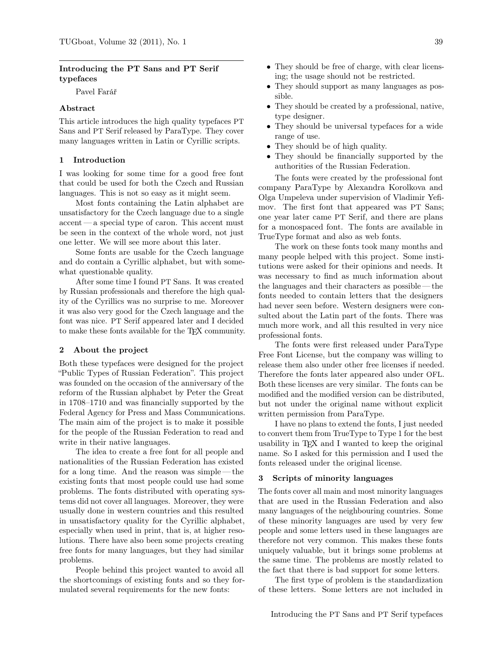#### Introducing the PT Sans and PT Serif typefaces

Pavel Farář

#### Abstract

This article introduces the high quality typefaces PT Sans and PT Serif released by ParaType. They cover many languages written in Latin or Cyrillic scripts.

#### 1 Introduction

I was looking for some time for a good free font that could be used for both the Czech and Russian languages. This is not so easy as it might seem.

Most fonts containing the Latin alphabet are unsatisfactory for the Czech language due to a single accent— a special type of caron. This accent must be seen in the context of the whole word, not just one letter. We will see more about this later.

Some fonts are usable for the Czech language and do contain a Cyrillic alphabet, but with somewhat questionable quality.

After some time I found PT Sans. It was created by Russian professionals and therefore the high quality of the Cyrillics was no surprise to me. Moreover it was also very good for the Czech language and the font was nice. PT Serif appeared later and I decided to make these fonts available for the TEX community.

#### 2 About the project

Both these typefaces were designed for the project "Public Types of Russian Federation". This project was founded on the occasion of the anniversary of the reform of the Russian alphabet by Peter the Great in 1708–1710 and was financially supported by the Federal Agency for Press and Mass Communications. The main aim of the project is to make it possible for the people of the Russian Federation to read and write in their native languages.

The idea to create a free font for all people and nationalities of the Russian Federation has existed for a long time. And the reason was simple— the existing fonts that most people could use had some problems. The fonts distributed with operating systems did not cover all languages. Moreover, they were usually done in western countries and this resulted in unsatisfactory quality for the Cyrillic alphabet, especially when used in print, that is, at higher resolutions. There have also been some projects creating free fonts for many languages, but they had similar problems.

People behind this project wanted to avoid all the shortcomings of existing fonts and so they formulated several requirements for the new fonts:

- They should be free of charge, with clear licensing; the usage should not be restricted.
- They should support as many languages as possible.
- They should be created by a professional, native, type designer.
- They should be universal typefaces for a wide range of use.
- They should be of high quality.
- They should be financially supported by the authorities of the Russian Federation.

The fonts were created by the professional font company ParaType by Alexandra Korolkova and Olga Umpeleva under supervision of Vladimir Yefimov. The first font that appeared was PT Sans; one year later came PT Serif, and there are plans for a monospaced font. The fonts are available in TrueType format and also as web fonts.

The work on these fonts took many months and many people helped with this project. Some institutions were asked for their opinions and needs. It was necessary to find as much information about the languages and their characters as possible — the fonts needed to contain letters that the designers had never seen before. Western designers were consulted about the Latin part of the fonts. There was much more work, and all this resulted in very nice professional fonts.

The fonts were first released under ParaType Free Font License, but the company was willing to release them also under other free licenses if needed. Therefore the fonts later appeared also under OFL. Both these licenses are very similar. The fonts can be modified and the modified version can be distributed, but not under the original name without explicit written permission from ParaType.

I have no plans to extend the fonts, I just needed to convert them from TrueType to Type 1 for the best usability in TEX and I wanted to keep the original name. So I asked for this permission and I used the fonts released under the original license.

#### 3 Scripts of minority languages

The fonts cover all main and most minority languages that are used in the Russian Federation and also many languages of the neighbouring countries. Some of these minority languages are used by very few people and some letters used in these languages are therefore not very common. This makes these fonts uniquely valuable, but it brings some problems at the same time. The problems are mostly related to the fact that there is bad support for some letters.

The first type of problem is the standardization of these letters. Some letters are not included in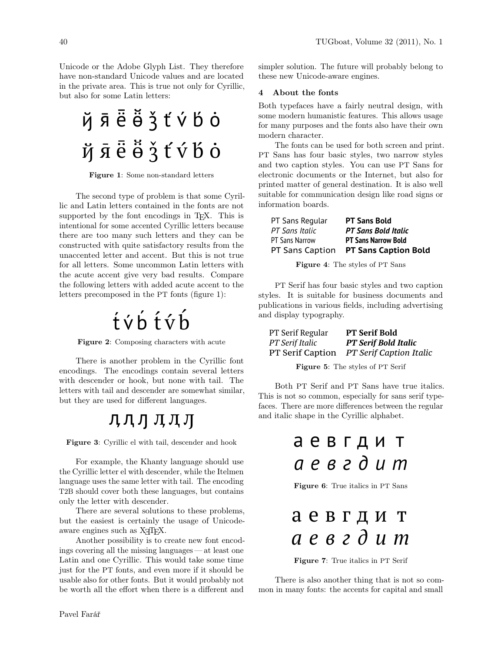Unicode or the Adobe Glyph List. They therefore have non-standard Unicode values and are located in the private area. This is true not only for Cyrillic, but also for some Latin letters:

ҋӣё҃ӫ҆҃҇ӡ҆ҭ҆ѵ҆Ҍ҆ѻ҅ йяёё́з tvbo

Figure 1: Some non-standard letters

The second type of problem is that some Cyrillic and Latin letters contained in the fonts are not supported by the font encodings in TEX. This is intentional for some accented Cyrillic letters because there are too many such letters and they can be constructed with quite satisfactory results from the unaccented letter and accent. But this is not true for all letters. Some uncommon Latin letters with the acute accent give very bad results. Compare the following letters with added acute accent to the letters precomposed in the PT fonts (figure 1):

# tvbtvb

Figure 2: Composing characters with acute

There is another problem in the Cyrillic font encodings. The encodings contain several letters with descender or hook, but none with tail. The letters with tail and descender are somewhat similar, but they are used for different languages.

## лдддд

Figure 3: Cyrillic el with tail, descender and hook

For example, the Khanty language should use the Cyrillic letter el with descender, while the Itelmen language uses the same letter with tail. The encoding T2B should cover both these languages, but contains only the letter with descender.

There are several solutions to these problems, but the easiest is certainly the usage of Unicodeaware engines such as X<sub>T</sub>T<sub>F</sub>X.

Another possibility is to create new font encodings covering all the missing languages — at least one Latin and one Cyrillic. This would take some time just for the PT fonts, and even more if it should be usable also for other fonts. But it would probably not be worth all the effort when there is a different and

simpler solution. The future will probably belong to these new Unicode-aware engines.

#### 4 About the fonts

Both typefaces have a fairly neutral design, with some modern humanistic features. This allows usage for many purposes and the fonts also have their own modern character.

The fonts can be used for both screen and print. PT Sans has four basic styles, two narrow styles and two caption styles. You can use PT Sans for electronic documents or the Internet, but also for printed matter of general destination. It is also well suitable for communication design like road signs or information boards.

| PT Sans Regular | <b>PT Sans Bold</b>         |
|-----------------|-----------------------------|
| PT Sans Italic  | <b>PT Sans Bold Italic</b>  |
| PT Sans Narrow  | <b>PT Sans Narrow Bold</b>  |
| PT Sans Caption | <b>PT Sans Caption Bold</b> |

Figure 4: The styles of PT Sans

PT Serif has four basic styles and two caption styles. It is suitable for business documents and publications in various fields, including advertising and display typography.

| PT Serif Regular        | <b>PT Serif Bold</b>           |
|-------------------------|--------------------------------|
| PT Serif Italic         | <b>PT Serif Bold Italic</b>    |
| <b>PT</b> Serif Caption | <b>PT Serif Caption Italic</b> |

Figure 5: The styles of PT Serif

Both PT Serif and PT Sans have true italics. This is not so common, especially for sans serif typefaces. There are more differences between the regular and italic shape in the Cyrillic alphabet.

# a e в г д и т *a e в г д и т*

Figure 6: True italics in PT Sans

|  |  |  | аевгдит |
|--|--|--|---------|
|  |  |  | аевгдит |

Figure 7: True italics in PT Serif

There is also another thing that is not so common in many fonts: the accents for capital and small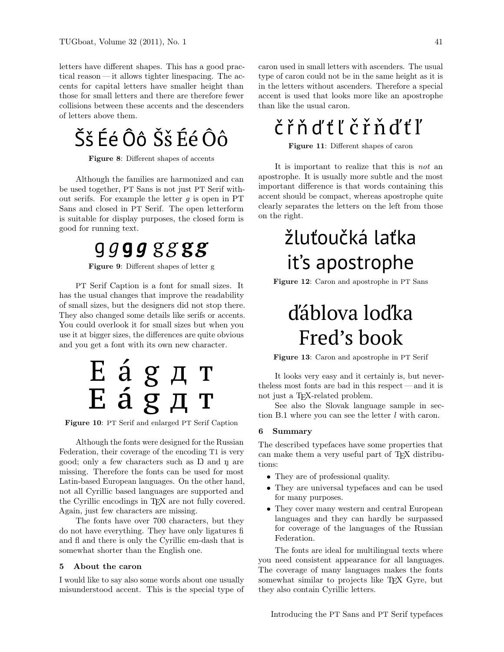letters have different shapes. This has a good practical reason— it allows tighter linespacing. The accents for capital letters have smaller height than those for small letters and there are therefore fewer collisions between these accents and the descenders of letters above them.

Šš Éé Ôô Šš Éé Ôô

Figure 8: Different shapes of accents

Although the families are harmonized and can be used together, PT Sans is not just PT Serif without serifs. For example the letter  $g$  is open in PT Sans and closed in PT Serif. The open letterform is suitable for display purposes, the closed form is good for running text.

# g *g* **g** *g* g *g* **g** *g*

Figure 9: Different shapes of letter g

PT Serif Caption is a font for small sizes. It has the usual changes that improve the readability of small sizes, but the designers did not stop there. They also changed some details like serifs or accents. You could overlook it for small sizes but when you use it at bigger sizes, the differences are quite obvious and you get a font with its own new character.



Figure 10: PT Serif and enlarged PT Serif Caption

Although the fonts were designed for the Russian Federation, their coverage of the encoding T1 is very good; only a few characters such as Ŋ and ŋ are missing. Therefore the fonts can be used for most Latin-based European languages. On the other hand, not all Cyrillic based languages are supported and the Cyrillic encodings in T<sub>EX</sub> are not fully covered. Again, just few characters are missing.

The fonts have over 700 characters, but they do not have everything. They have only ligatures fi and fl and there is only the Cyrillic em-dash that is somewhat shorter than the English one.

#### 5 About the caron

I would like to say also some words about one usually misunderstood accent. This is the special type of caron used in small letters with ascenders. The usual type of caron could not be in the same height as it is in the letters without ascenders. Therefore a special accent is used that looks more like an apostrophe than like the usual caron.

# č ř ň ď ť ľ č ř ň ď ť ľ

Figure 11: Different shapes of caron

It is important to realize that this is not an apostrophe. It is usually more subtle and the most important difference is that words containing this accent should be compact, whereas apostrophe quite clearly separates the letters on the left from those on the right.

# žluťoučká laťka it's apostrophe

Figure 12: Caron and apostrophe in PT Sans

# ďáblova loďka Fred's book

Figure 13: Caron and apostrophe in PT Serif

It looks very easy and it certainly is, but nevertheless most fonts are bad in this respect — and it is not just a TEX-related problem.

See also the Slovak language sample in section B.1 where you can see the letter l with caron.

#### 6 Summary

The described typefaces have some properties that can make them a very useful part of T<sub>EX</sub> distributions:

- They are of professional quality.
- They are universal typefaces and can be used for many purposes.
- They cover many western and central European languages and they can hardly be surpassed for coverage of the languages of the Russian Federation.

The fonts are ideal for multilingual texts where you need consistent appearance for all languages. The coverage of many languages makes the fonts somewhat similar to projects like T<sub>F</sub>X Gyre, but they also contain Cyrillic letters.